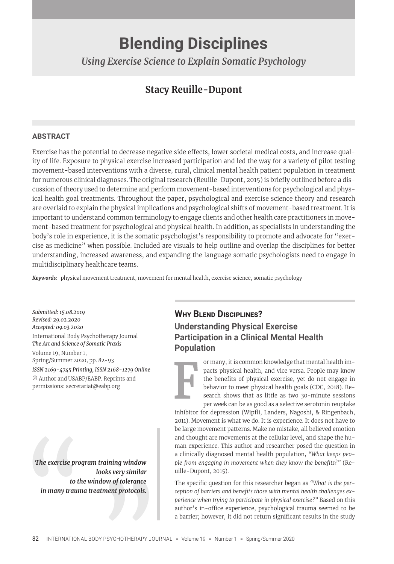# **Blending Disciplines**

*Using Exercise Science to Explain Somatic Psychology* 

## **Stacy Reuille-Dupont**

#### **ABSTRACT**

Exercise has the potential to decrease negative side effects, lower societal medical costs, and increase quality of life. Exposure to physical exercise increased participation and led the way for a variety of pilot testing movement-based interventions with a diverse, rural, clinical mental health patient population in treatment for numerous clinical diagnoses. The original research (Reuille-Dupont, 2015) is briefly outlined before a discussion of theory used to determine and perform movement-based interventions for psychological and physical health goal treatments. Throughout the paper, psychological and exercise science theory and research are overlaid to explain the physical implications and psychological shifts of movement-based treatment. It is important to understand common terminology to engage clients and other health care practitioners in movement-based treatment for psychological and physical health. In addition, as specialists in understanding the body's role in experience, it is the somatic psychologist's responsibility to promote and advocate for "exercise as medicine" when possible. Included are visuals to help outline and overlap the disciplines for better understanding, increased awareness, and expanding the language somatic psychologists need to engage in multidisciplinary healthcare teams.

*Keywords:* physical movement treatment, movement for mental health, exercise science, somatic psychology

*Submitted: 15.08.2019 Revised: 29.02.2020 Accepted: 09.03.2020* International Body Psychotherapy Journal *The Art and Science of Somatic Praxis* Volume 19, Number 1, Spring/Summer 2020, pp. 82-93

*ISSN 2169-4745 Printing, ISSN 2168-1279 Online* © Author and USABP/EABP. Reprints and permissions: secretariat@eabp.org

The exercise pro<br>to the in many traun *The exercise program training window looks very similar to the window of tolerance in many trauma treatment protocols.*

#### **WHY BLEND DISCIPLINES?**

**Understanding Physical Exercise Participation in a Clinical Mental Health Population**

> or many, it is common knowledge that mental health impacts physical health, and vice versa. People may know the benefits of physical exercise, yet do not engage in behavior to meet physical health goals (CDC, 2018). Research shows that as little as two 30-minute sessions per week can be as good as a selective serotonin reuptake

inhibitor for depression (Wipfli, Landers, Nagoshi, & Ringenbach, 2011). Movement is what we do. It is experience. It does not have to be large movement patterns. Make no mistake, all believed emotion and thought are movements at the cellular level, and shape the human experience. This author and researcher posed the question in a clinically diagnosed mental health population, *"What keeps people from engaging in movement when they know the benefits?"* (Reuille-Dupont, 2015).

The specific question for this researcher began as "What is the perception of barriers and benefits those with mental health challenges ex*perience when trying to participate in physical exercise?"* Based on this author's in-office experience, psychological trauma seemed to be a barrier; however, it did not return significant results in the study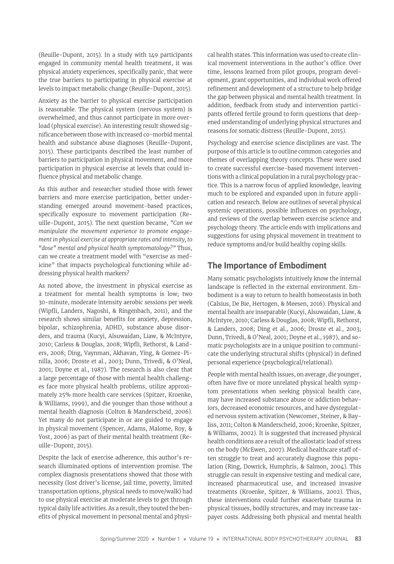(Reuille-Dupont, 2015). In a study with 149 participants engaged in community mental health treatment, it was physical anxiety experiences, specifically panic, that were the true barriers to participating in physical exercise at levels to impact metabolic change (Reuille-Dupont, 2015).

Anxiety as the barrier to physical exercise participation is reasonable. The physical system (nervous system) is overwhelmed, and thus cannot participate in more overload (physical exercise). An interesting result showed significance between those with increased co-morbid mental health and substance abuse diagnoses (Reuille-Dupont, 2015). These participants described the least number of barriers to participation in physical movement, and more participation in physical exercise at levels that could influence physical and metabolic change.

As this author and researcher studied those with fewer barriers and more exercise participation, better understanding emerged around movement-based practices, specifically exposure to movement participation (Reuille-Dupont, 2015). The next question became, *"Can we manipulate the movement experience to promote engagement in physical exercise at appropriate rates and intensity, to "dose" mental and physical health symptomatology?"* Thus, can we create a treatment model with "exercise as medicine" that impacts psychological functioning while addressing physical health markers?

As noted above, the investment in physical exercise as a treatment for mental health symptoms is low; two 30-minute, moderate intensity aerobic sessions per week (Wipfli, Landers, Nagoshi, & Ringenbach, 2011), and the research shows similar benefits for anxiety, depression, bipolar, schizophrenia, ADHD, substance abuse disorders, and trauma (Kucyi, Alsuwaidan, Liaw, & McIntyre, 2010; Carless & Douglas, 2008; Wipfli, Rethorst, & Landers, 2008; Ding, Vaynman, Akhavan, Ying, & Gomez-Pinilla, 2006; Droste et al., 2003; Dunn, Trivedi, & O'Neal, 2001; Doyne et al., 1987). The research is also clear that a large percentage of those with mental health challenges face more physical health problems, utilize approximately 25% more health care services (Spitzer, Kroenke, & Williams, 1999), and die younger than those without a mental health diagnosis (Colton & Manderscheid, 2006). Yet many do not participate in or are guided to engage in physical movement (Spencer, Adams, Malome, Roy, & Yost, 2006) as part of their mental health treatment (Reuille-Dupont, 2015).

Despite the lack of exercise adherence, this author's research illuminated options of intervention promise. The complex diagnosis presentations showed that those with necessity (lost driver's license, jail time, poverty, limited transportation options, physical needs to move/walk) had to use physical exercise at moderate levels to get through typical daily life activities. As a result, they touted the benefits of physical movement in personal mental and physical health states. This information was used to create clinical movement interventions in the author's office. Over time, lessons learned from pilot groups, program development, grant opportunities, and individual work offered refinement and development of a structure to help bridge the gap between physical and mental health treatment. In addition, feedback from study and intervention participants offered fertile ground to form questions that deepened understanding of underlying physical structures and reasons for somatic distress (Reuille-Dupont, 2015).

Psychology and exercise science disciplines are vast. The purpose of this article is to outline common categories and themes of overlapping theory concepts. These were used to create successful exercise-based movement interventions with a clinical population in a rural psychology practice. This is a narrow focus of applied knowledge, leaving much to be explored and expanded upon in future application and research. Below are outlines of several physical systemic operations, possible influences on psychology, and reviews of the overlap between exercise science and psychology theory. The article ends with implications and suggestions for using physical movement in treatment to reduce symptoms and/or build healthy coping skills.

#### **The Importance of Embodiment**

Many somatic psychologists intuitively know the internal landscape is reflected in the external environment. Embodiment is a way to return to health homeostasis in both (Calsius, De Bie, Hertogen, & Meesen, 2016). Physical and mental health are inseparable (Kucyi, Alsuwaidan, Liaw, & McIntyre, 2010; Carless & Douglas, 2008; Wipfli, Rethorst, & Landers, 2008; Ding et al., 2006; Droste et al., 2003; Dunn, Trivedi, & O'Neal, 2001; Doyne et al., 1987), and somatic psychologists are in a unique position to communicate the underlying structural shifts (physical) in defined personal experience (psychological/relational).

People with mental health issues, on average, die younger, often have five or more unrelated physical health symptom presentations when seeking physical health care, may have increased substance abuse or addiction behaviors, decreased economic resources, and have dysregulated nervous system activation (Newcomer, Steiner, & Bayliss, 2011; Colton & Manderscheid, 2006; Kroenke, Spitzer, & Williams, 2002). It is suggested that increased physical health conditions are a result of the allostatic load of stress on the body (McEwen, 2007). Medical healthcare staff often struggle to treat and accurately diagnose this population (Ring, Dowrick, Humphris, & Salmon, 2004). This struggle can result in expensive testing and medical care, increased pharmaceutical use, and increased invasive treatments (Kroenke, Spitzer, & Williams, 2002). Thus, these interventions could further exacerbate trauma in physical tissues, bodily structures, and may increase taxpayer costs. Addressing both physical and mental health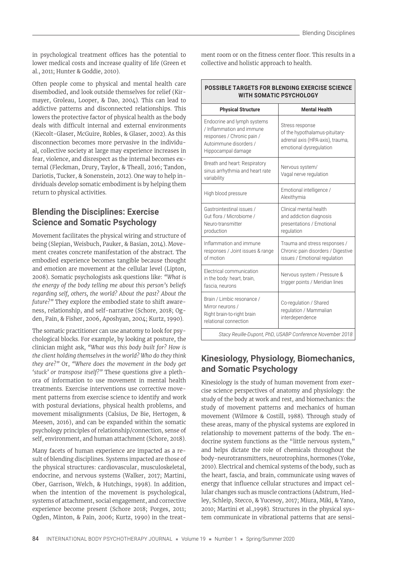in psychological treatment offices has the potential to lower medical costs and increase quality of life (Green et al., 2011; Hunter & Goddie, 2010).

Often people come to physical and mental health care disembodied, and look outside themselves for relief (Kirmayer, Groleau, Looper, & Dao, 2004). This can lead to addictive patterns and disconnected relationships. This lowers the protective factor of physical health as the body deals with difficult internal and external environments (Kiecolt-Glaser, McGuire, Robles, & Glaser, 2002). As this disconnection becomes more pervasive in the individual, collective society at large may experience increases in fear, violence, and disrespect as the internal becomes external (Fleckman, Drury, Taylor, & Theall, 2016; Tandon, Dariotis, Tucker, & Sonenstein, 2012). One way to help individuals develop somatic embodiment is by helping them return to physical activities.

## **Blending the Disciplines: Exercise Science and Somatic Psychology**

Movement facilitates the physical wiring and structure of being (Slepian, Weisbuch, Pauker, & Basian, 2014). Movement creates concrete manifestation of the abstract. The embodied experience becomes tangible because thought and emotion are movement at the cellular level (Lipton, 2008). Somatic psychologists ask questions like: *"What is the energy of the body telling me about this person's beliefs regarding self, others, the world? About the past? About the future?"* They explore the embodied state to shift awareness, relationship, and self-narrative (Schore, 2018; Ogden, Pain, & Fisher, 2006, Aposhyan, 2004; Kurtz, 1990).

The somatic practitioner can use anatomy to look for psychological blocks. For example, by looking at posture, the clinician might ask, *"What was this body built for? How is the client holding themselves in the world? Who do they think they are?"* Or, *"Where does the movement in the body get 'stuck' or transpose itself?"* These questions give a plethora of information to use movement in mental health treatments. Exercise interventions use corrective movement patterns from exercise science to identify and work with postural deviations, physical health problems, and movement misalignments (Calsius, De Bie, Hertogen, & Meesen, 2016), and can be expanded within the somatic psychology principles of relationship/connection, sense of self, environment, and human attachment (Schore, 2018).

Many facets of human experience are impacted as a result of blending disciplines. Systems impacted are those of the physical structures: cardiovascular, musculoskeletal, endocrine, and nervous systems (Walker, 2017; Martini, Ober, Garrison, Welch, & Hutchings, 1998). In addition, when the intention of the movement is psychological, systems of attachment, social engagement, and corrective experience become present (Schore 2018; Porges, 2011; Ogden, Minton, & Pain, 2006; Kurtz, 1990) in the treat-

ment room or on the fitness center floor. This results in a collective and holistic approach to health.

| <b>POSSIBLE TARGETS FOR BLENDING EXERCISE SCIENCE</b><br><b>WITH SOMATIC PSYCHOLOGY</b>                                                |                                                                                                                  |  |  |  |
|----------------------------------------------------------------------------------------------------------------------------------------|------------------------------------------------------------------------------------------------------------------|--|--|--|
| <b>Physical Structure</b>                                                                                                              | <b>Mental Health</b>                                                                                             |  |  |  |
| Endocrine and lymph systems<br>/ Inflammation and immune<br>responses / Chronic pain /<br>Autoimmune disorders /<br>Hippocampal damage | Stress response<br>of the hypothalamus-pituitary-<br>adrenal axis (HPA-axis), trauma,<br>emotional dysregulation |  |  |  |
| Breath and heart: Respiratory<br>sinus arrhythmia and heart rate<br>variability                                                        | Nervous system/<br>Vagal nerve regulation                                                                        |  |  |  |
| High blood pressure                                                                                                                    | Emotional intelligence /<br>Alexithymia                                                                          |  |  |  |
| Gastrointestinal issues /<br>Gut flora / Microbiome /<br>Neuro-transmitter<br>production                                               | Clinical mental health<br>and addiction diagnosis<br>presentations / Emotional<br>regulation                     |  |  |  |
| Inflammation and immune<br>responses / Joint issues & range<br>of motion                                                               | Trauma and stress responses /<br>Chronic pain disorders / Digestive<br>issues / Emotional regulation             |  |  |  |
| <b>Electrical communication</b><br>in the body: heart, brain,<br>fascia, neurons                                                       | Nervous system / Pressure &<br>trigger points / Meridian lines                                                   |  |  |  |
| Brain / Limbic resonance /<br>Mirror neurons /<br>Right brain-to-right brain<br>relational connection                                  | Co-regulation / Shared<br>regulation / Mammalian<br>interdependence                                              |  |  |  |
| Stacy Reuille-Dupont, PhD, USABP Conference November 2018                                                                              |                                                                                                                  |  |  |  |

### **Kinesiology, Physiology, Biomechanics, and Somatic Psychology**

Kinesiology is the study of human movement from exercise science perspectives of anatomy and physiology: the study of the body at work and rest, and biomechanics: the study of movement patterns and mechanics of human movement (Wilmore & Costill, 1988). Through study of these areas, many of the physical systems are explored in relationship to movement patterns of the body. The endocrine system functions as the "little nervous system," and helps dictate the role of chemicals throughout the body-neurotransmitters, neurotrophins, hormones (Yoke, 2010). Electrical and chemical systems of the body, such as the heart, fascia, and brain, communicate using waves of energy that influence cellular structures and impact cellular changes such as muscle contractions (Adstrum, Hedley, Schleip, Stecco, & Yucesoy, 2017; Miura, Miki, & Yano, 2010; Martini et al.,1998). Structures in the physical system communicate in vibrational patterns that are sensi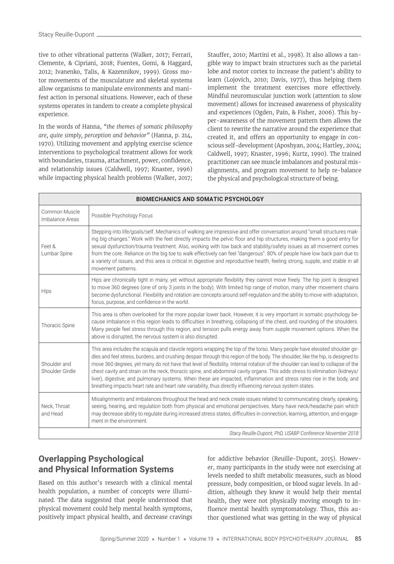tive to other vibrational patterns (Walker, 2017; Ferrari, Clemente, & Cipriani, 2018; Fuentes, Gomi, & Haggard, 2012; Ivanenko, Talis, & Kazennikov, 1999). Gross motor movements of the musculature and skeletal systems allow organisms to manipulate environments and manifest action in personal situations. However, each of these systems operates in tandem to create a complete physical experience.

In the words of Hanna, *"the themes of somatic philosophy are, quite simply, perception and behavior"* (Hanna, p. 214, 1970). Utilizing movement and applying exercise science interventions to psychological treatment allows for work with boundaries, trauma, attachment, power, confidence, and relationship issues (Caldwell, 1997; Knaster, 1996) while impacting physical health problems (Walker, 2017;

Stauffer, 2010; Martini et al., 1998). It also allows a tangible way to impact brain structures such as the parietal lobe and motor cortex to increase the patient's ability to learn (Lojovich, 2010; Davis, 1977), thus helping them implement the treatment exercises more effectively. Mindful neuromuscular junction work (attention to slow movement) allows for increased awareness of physicality and experiences (Ogden, Pain, & Fisher, 2006). This hyper-awareness of the movement pattern then allows the client to rewrite the narrative around the experience that created it, and offers an opportunity to engage in conscious self-development (Aposhyan, 2004; Hartley, 2004; Caldwell, 1997; Knaster, 1996; Kurtz, 1990). The trained practitioner can see muscle imbalances and postural misalignments, and program movement to help re-balance the physical and psychological structure of being.

| <b>BIOMECHANICS AND SOMATIC PSYCHOLOGY</b>                |                                                                                                                                                                                                                                                                                                                                                                                                                                                                                                                                                                                                                                                                                                                                                                        |  |  |  |
|-----------------------------------------------------------|------------------------------------------------------------------------------------------------------------------------------------------------------------------------------------------------------------------------------------------------------------------------------------------------------------------------------------------------------------------------------------------------------------------------------------------------------------------------------------------------------------------------------------------------------------------------------------------------------------------------------------------------------------------------------------------------------------------------------------------------------------------------|--|--|--|
| Common Muscle<br>Imbalance Areas                          | Possible Psychology Focus                                                                                                                                                                                                                                                                                                                                                                                                                                                                                                                                                                                                                                                                                                                                              |  |  |  |
| Feet &<br>Lumbar Spine                                    | Stepping into life/goals/self. Mechanics of walking are impressive and offer conversation around "small structures mak-<br>ing big changes." Work with the feet directly impacts the pelvic floor and hip structures, making them a good entry for<br>sexual dysfunction/trauma treatment. Also, working with low back and stability/safety issues as all movement comes<br>from the core. Reliance on the big toe to walk effectively can feel "dangerous". 80% of people have low back pain due to<br>a variety of issues, and this area is critical in digestive and reproductive health, feeling strong, supple, and stable in all<br>movement patterns.                                                                                                           |  |  |  |
| Hips                                                      | Hips are chronically tight in many, yet without appropriate flexibility they cannot move freely. The hip joint is designed<br>to move 360 degrees (one of only 3 joints in the body). With limited hip range of motion, many other movement chains<br>become dysfunctional. Flexibility and rotation are concepts around self-regulation and the ability to move with adaptation,<br>focus, purpose, and confidence in the world.                                                                                                                                                                                                                                                                                                                                      |  |  |  |
| Thoracic Spine                                            | This area is often overlooked for the more popular lower back. However, it is very important in somatic psychology be-<br>cause imbalance in this region leads to difficulties in breathing, collapsing of the chest, and rounding of the shoulders.<br>Many people feel stress through this region, and tension pulls energy away from supple movement options. When the<br>above is disrupted, the nervous system is also disrupted.                                                                                                                                                                                                                                                                                                                                 |  |  |  |
| Shoulder and<br>Shoulder Girdle                           | This area includes the scapula and clavicle regions wrapping the top of the torso. Many people have elevated shoulder gir-<br>dles and feel stress, burdens, and crushing despair through this region of the body. The shoulder, like the hip, is designed to<br>move 360 degrees, yet many do not have that level of flexibility. Internal rotation of the shoulder can lead to collapse of the<br>chest cavity and strain on the neck, thoracic spine, and abdominal cavity organs. This adds stress to elimination (kidneys/<br>liver), digestive, and pulmonary systems. When these are impacted, inflammation and stress rates rise in the body, and<br>breathing impacts heart rate and heart rate variability, thus directly influencing nervous system states. |  |  |  |
| Neck, Throat<br>and Head                                  | Misalignments and imbalances throughout the head and neck create issues related to communicating clearly, speaking,<br>seeing, hearing, and regulation both from physical and emotional perspectives. Many have neck/headache pain which<br>may decrease ability to regulate during increased stress states, difficulties in connection, learning, attention, and engage-<br>ment in the environment.                                                                                                                                                                                                                                                                                                                                                                  |  |  |  |
| Stacy Reuille-Dupont, PhD, USABP Conference November 2018 |                                                                                                                                                                                                                                                                                                                                                                                                                                                                                                                                                                                                                                                                                                                                                                        |  |  |  |

### **Overlapping Psychological and Physical Information Systems**

Based on this author's research with a clinical mental health population, a number of concepts were illuminated. The data suggested that people understood that physical movement could help mental health symptoms, positively impact physical health, and decrease cravings for addictive behavior (Reuille-Dupont, 2015). However, many participants in the study were not exercising at levels needed to shift metabolic measures, such as blood pressure, body composition, or blood sugar levels. In addition, although they knew it would help their mental health, they were not physically moving enough to influence mental health symptomatology. Thus, this author questioned what was getting in the way of physical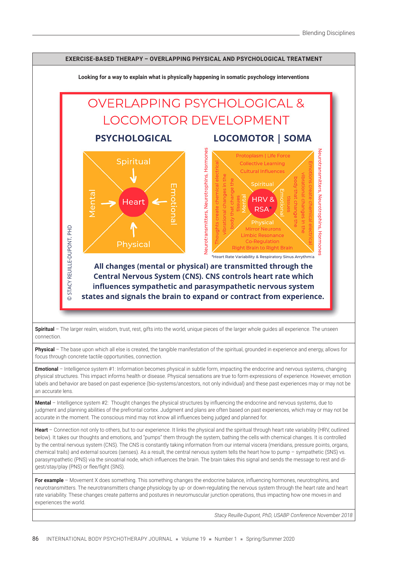

**Physical** – The base upon which all else is created, the tangible manifestation of the spiritual, grounded in experience and energy, allows for focus through concrete tactile opportunities, connection.

**Emotional** – Intelligence system #1: Information becomes physical in subtle form, impacting the endocrine and nervous systems, changing physical structures. This impact informs health or disease. Physical sensations are true to form expressions of experience. However, emotion labels and behavior are based on past experience (bio-systems/ancestors, not only individual) and these past experiences may or may not be an accurate lens.

Mental – Intelligence system #2: Thought changes the physical structures by influencing the endocrine and nervous systems, due to judgment and planning abilities of the prefrontal cortex. Judgment and plans are often based on past experiences, which may or may not be accurate in the moment. The conscious mind may not know all influences being judged and planned for.

**Heart** – Connection not only to others, but to our experience. It links the physical and the spiritual through heart rate variability (HRV, outlined below). It takes our thoughts and emotions, and "pumps" them through the system, bathing the cells with chemical changes. It is controlled by the central nervous system (CNS). The CNS is constantly taking information from our internal viscera (meridians, pressure points, organs, chemical trails) and external sources (senses). As a result, the central nervous system tells the heart how to pump – sympathetic (SNS) vs. parasympathetic (PNS) via the sinoatrial node, which influences the brain. The brain takes this signal and sends the message to rest and digest/stay/play (PNS) or flee/fight (SNS).

For example - Movement X does something. This something changes the endocrine balance, influencing hormones, neurotrophins, and neurotransmitters. The neurotransmitters change physiology by up- or down-regulating the nervous system through the heart rate and heart rate variability. These changes create patterns and postures in neuromuscular junction operations, thus impacting how one moves in and experiences the world.

*Stacy Reuille-Dupont, PhD, USABP Conference November 2018*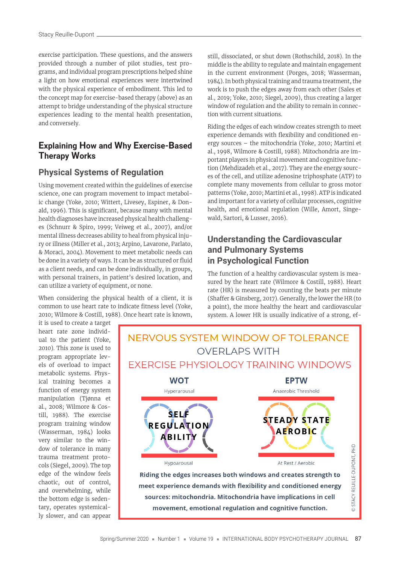exercise participation. These questions, and the answers provided through a number of pilot studies, test programs, and individual program prescriptions helped shine a light on how emotional experiences were intertwined with the physical experience of embodiment. This led to the concept map for exercise-based therapy (above) as an attempt to bridge understanding of the physical structure experiences leading to the mental health presentation, and conversely.

#### **Explaining How and Why Exercise-Based Therapy Works**

#### **Physical Systems of Regulation**

Using movement created within the guidelines of exercise science, one can program movement to impact metabolic change (Yoke, 2010; Wittert, Livesey, Espiner, & Donald, 1996). This is significant, because many with mental health diagnoses have increased physical health challenges (Schnurr & Spiro, 1999; Veiweg et al., 2007), and/or mental illness decreases ability to heal from physical injury or illness (Miller et al., 2013; Arpino, Lavarone, Parlato, & Moraci, 2004). Movement to meet metabolic needs can be done in a variety of ways. It can be as structured or fluid as a client needs, and can be done individually, in groups, with personal trainers, in patient's desired location, and can utilize a variety of equipment, or none.

When considering the physical health of a client, it is common to use heart rate to indicate fitness level (Yoke, 2010; Wilmore & Costill, 1988). Once heart rate is known, still, dissociated, or shut down (Rothschild, 2018). In the middle is the ability to regulate and maintain engagement in the current environment (Porges, 2018; Wasserman, 1984). In both physical training and trauma treatment, the work is to push the edges away from each other (Sales et al., 2019; Yoke, 2010; Siegel, 2009), thus creating a larger window of regulation and the ability to remain in connection with current situations.

Riding the edges of each window creates strength to meet experience demands with flexibility and conditioned energy sources – the mitochondria (Yoke, 2010; Martini et al., 1998, Wilmore & Costill, 1988). Mitochondria are important players in physical movement and cognitive function (Mehdizadeh et al., 2017). They are the energy sources of the cell, and utilize adenosine triphosphate (ATP) to complete many movements from cellular to gross motor patterns (Yoke, 2010; Martini et al., 1998). ATP is indicated and important for a variety of cellular processes, cognitive health, and emotional regulation (Wille, Amort, Singewald, Sartori, & Lusser, 2016).

#### **Understanding the Cardiovascular and Pulmonary Systems in Psychological Function**

The function of a healthy cardiovascular system is measured by the heart rate (Wilmore & Costill, 1988). Heart rate (HR) is measured by counting the beats per minute (Shaffer & Ginsberg, 2017). Generally, the lower the HR (to a point), the more healthy the heart and cardiovascular system. A lower HR is usually indicative of a strong, ef-

it is used to create a target heart rate zone individual to the patient (Yoke, 2010). This zone is used to program appropriate levels of overload to impact metabolic systems. Physical training becomes a function of energy system manipulation (Tjønna et al., 2008; Wilmore & Costill, 1988). The exercise program training window (Wasserman, 1984) looks very similar to the window of tolerance in many trauma treatment protocols (Siegel, 2009). The top edge of the window feels chaotic, out of control, and overwhelming, while the bottom edge is sedentary, operates systemically slower, and can appear

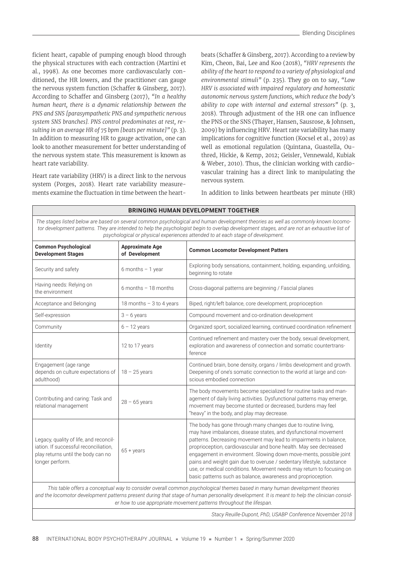ficient heart, capable of pumping enough blood through the physical structures with each contraction (Martini et al., 1998). As one becomes more cardiovascularly conditioned, the HR lowers, and the practitioner can gauge the nervous system function (Schaffer & Ginsberg, 2017). According to Schaffer and Ginsberg (2017), "In a healthy *human heart, there is a dynamic relationship between the PNS and SNS [parasympathetic PNS and sympathetic nervous system SNS branches]. PNS control predominates at rest, resulting in an average HR of 75 bpm [beats per minute]"* (p. 3). In addition to measuring HR to gauge activation, one can look to another measurement for better understanding of the nervous system state. This measurement is known as heart rate variability.

Heart rate variability (HRV) is a direct link to the nervous system (Porges, 2018). Heart rate variability measurements examine the fluctuation in time between the heartbeats (Schaffer & Ginsberg, 2017). According to a review by Kim, Cheon, Bai, Lee and Koo (2018), *"HRV represents the ability of the heart to respond to a variety of physiological and environmental stimuli"* (p. 235). They go on to say, *"Low HRV is associated with impaired regulatory and homeostatic autonomic nervous system functions, which reduce the body's ability to cope with internal and external stressors"* (p. 3, 2018). Through adjustment of the HR one can influence the PNS or the SNS (Thayer, Hansen, Sausrose, & Johnsen, 2009) by influencing HRV. Heart rate variability has many implications for cognitive function (Kocsel et al., 2019) as well as emotional regulation (Quintana, Guastella, Outhred, Hickie, & Kemp, 2012; Geisler, Vennewald, Kubiak & Weber, 2010). Thus, the clinician working with cardiovascular training has a direct link to manipulating the nervous system.

In addition to links between heartbeats per minute (HR)

| <b>BRINGING HUMAN DEVELOPMENT TOGETHER</b>                                                                                                                                                                                                                                                                                                                           |                                          |                                                                                                                                                                                                                                                                                                                                                                                                                                                                                                                                                                    |  |  |  |
|----------------------------------------------------------------------------------------------------------------------------------------------------------------------------------------------------------------------------------------------------------------------------------------------------------------------------------------------------------------------|------------------------------------------|--------------------------------------------------------------------------------------------------------------------------------------------------------------------------------------------------------------------------------------------------------------------------------------------------------------------------------------------------------------------------------------------------------------------------------------------------------------------------------------------------------------------------------------------------------------------|--|--|--|
| The stages listed below are based on several common psychological and human development theories as well as commonly known locomo-<br>tor development patterns. They are intended to help the psychologist begin to overlap development stages, and are not an exhaustive list of<br>psychological or physical experiences attended to at each stage of development. |                                          |                                                                                                                                                                                                                                                                                                                                                                                                                                                                                                                                                                    |  |  |  |
| <b>Common Psychological</b><br><b>Development Stages</b>                                                                                                                                                                                                                                                                                                             | <b>Approximate Age</b><br>of Development | <b>Common Locomotor Development Patters</b>                                                                                                                                                                                                                                                                                                                                                                                                                                                                                                                        |  |  |  |
| Security and safety                                                                                                                                                                                                                                                                                                                                                  | 6 months $-1$ year                       | Exploring body sensations, containment, holding, expanding, unfolding,<br>beginning to rotate                                                                                                                                                                                                                                                                                                                                                                                                                                                                      |  |  |  |
| Having needs: Relying on<br>the environment                                                                                                                                                                                                                                                                                                                          | 6 months $-18$ months                    | Cross-diagonal patterns are beginning / Fascial planes                                                                                                                                                                                                                                                                                                                                                                                                                                                                                                             |  |  |  |
| Acceptance and Belonging                                                                                                                                                                                                                                                                                                                                             | 18 months $-3$ to 4 years                | Biped, right/left balance, core development, proprioception                                                                                                                                                                                                                                                                                                                                                                                                                                                                                                        |  |  |  |
| Self-expression                                                                                                                                                                                                                                                                                                                                                      | $3 - 6$ years                            | Compound movement and co-ordination development                                                                                                                                                                                                                                                                                                                                                                                                                                                                                                                    |  |  |  |
| Community                                                                                                                                                                                                                                                                                                                                                            | $6 - 12$ years                           | Organized sport, socialized learning, continued coordination refinement                                                                                                                                                                                                                                                                                                                                                                                                                                                                                            |  |  |  |
| Identity                                                                                                                                                                                                                                                                                                                                                             | 12 to 17 years                           | Continued refinement and mastery over the body, sexual development,<br>exploration and awareness of connection and somatic countertrans-<br>ference                                                                                                                                                                                                                                                                                                                                                                                                                |  |  |  |
| Engagement (age range<br>depends on culture expectations of<br>adulthood)                                                                                                                                                                                                                                                                                            | $18 - 25$ years                          | Continued brain, bone density, organs / limbs development and growth.<br>Deepening of one's somatic connection to the world at large and con-<br>scious embodied connection                                                                                                                                                                                                                                                                                                                                                                                        |  |  |  |
| Contributing and caring: Task and<br>relational management                                                                                                                                                                                                                                                                                                           | $28 - 65$ years                          | The body movements become specialized for routine tasks and man-<br>agement of daily living activities. Dysfunctional patterns may emerge,<br>movement may become stunted or decreased, burdens may feel<br>"heavy" in the body, and play may decrease.                                                                                                                                                                                                                                                                                                            |  |  |  |
| Legacy, quality of life, and reconcil-<br>iation. If successful reconciliation,<br>play returns until the body can no<br>longer perform.                                                                                                                                                                                                                             | $65 + \gamma$ ears                       | The body has gone through many changes due to routine living,<br>may have imbalances, disease states, and dysfunctional movement<br>patterns. Decreasing movement may lead to impairments in balance,<br>proprioception, cardiovascular and bone health. May see decreased<br>engagement in environment. Slowing down move-ments, possible joint<br>pains and weight gain due to overuse / sedentary lifestyle, substance<br>use, or medical conditions. Movement needs may return to focusing on<br>basic patterns such as balance, awareness and proprioception. |  |  |  |
| This table offers a concentual way to consider overall common psychological themes based in many human development theories                                                                                                                                                                                                                                          |                                          |                                                                                                                                                                                                                                                                                                                                                                                                                                                                                                                                                                    |  |  |  |

*This table offers a conceptual way to consider overall common psychological themes based in many human development theories and the locomotor development patterns present during that stage of human personality development. It is meant to help the clinician consider how to use appropriate movement patterns throughout the lifespan.*

*Stacy Reuille-Dupont, PhD, USABP Conference November 2018*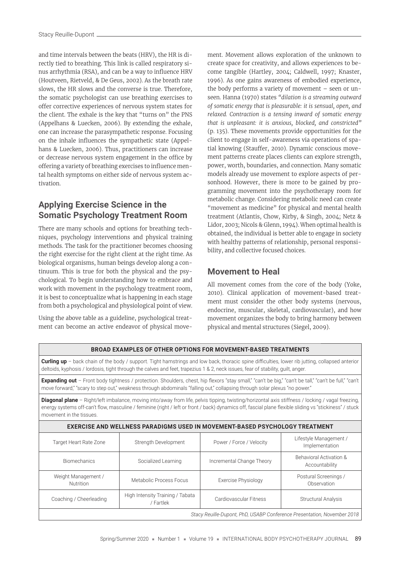and time intervals between the beats (HRV), the HR is directly tied to breathing. This link is called respiratory sinus arrhythmia (RSA), and can be a way to influence HRV (Houtveen, Rietveld, & De Geus, 2002). As the breath rate slows, the HR slows and the converse is true. Therefore, the somatic psychologist can use breathing exercises to offer corrective experiences of nervous system states for the client. The exhale is the key that "turns on" the PNS (Appelhans & Luecken, 2006). By extending the exhale, one can increase the parasympathetic response. Focusing on the inhale influences the sympathetic state (Appelhans & Luecken, 2006). Thus, practitioners can increase or decrease nervous system engagement in the office by offering a variety of breathing exercises to influence mental health symptoms on either side of nervous system activation.

#### **Applying Exercise Science in the Somatic Psychology Treatment Room**

There are many schools and options for breathing techniques, psychology interventions and physical training methods. The task for the practitioner becomes choosing the right exercise for the right client at the right time. As biological organisms, human beings develop along a continuum. This is true for both the physical and the psychological. To begin understanding how to embrace and work with movement in the psychology treatment room, it is best to conceptualize what is happening in each stage from both a psychological and physiological point of view.

Using the above table as a guideline, psychological treatment can become an active endeavor of physical movement. Movement allows exploration of the unknown to create space for creativity, and allows experiences to become tangible (Hartley, 2004; Caldwell, 1997; Knaster, 1996). As one gains awareness of embodied experience, the body performs a variety of movement – seen or unseen. Hanna (1970) states *"dilation is a streaming outward of somatic energy that is pleasurable: it is sensual, open, and relaxed. Contraction is a tensing inward of somatic energy that is unpleasant: it is anxious, blocked, and constricted"* (p. 135). These movements provide opportunities for the client to engage in self-awareness via operations of spatial knowing (Stauffer, 2010). Dynamic conscious movement patterns create places clients can explore strength, power, worth, boundaries, and connection. Many somatic models already use movement to explore aspects of personhood. However, there is more to be gained by programming movement into the psychotherapy room for metabolic change. Considering metabolic need can create "movement as medicine" for physical and mental health treatment (Atlantis, Chow, Kirby, & Singh, 2004; Netz & Lidor, 2003; Nicols & Glenn, 1994). When optimal health is obtained, the individual is better able to engage in society with healthy patterns of relationship, personal responsibility, and collective focused choices.

#### **Movement to Heal**

All movement comes from the core of the body (Yoke, 2010). Clinical application of movement-based treatment must consider the other body systems (nervous, endocrine, muscular, skeletal, cardiovascular), and how movement organizes the body to bring harmony between physical and mental structures (Siegel, 2009).

|                                                                                    | <b>Curling up</b> – back chain of the body / support. Tight hamstrings and low back, thoracic spine difficulties, lower rib jutting, collapsed anterior<br>deltoids, kyphosis / lordosis, tight through the calves and feet, trapezius 1 & 2, neck issues, fear of stability, quilt, anger.                         |                                                                         |                                           |  |  |
|------------------------------------------------------------------------------------|---------------------------------------------------------------------------------------------------------------------------------------------------------------------------------------------------------------------------------------------------------------------------------------------------------------------|-------------------------------------------------------------------------|-------------------------------------------|--|--|
|                                                                                    | <b>Expanding out</b> - Front body tightness / protection. Shoulders, chest, hip flexors "stay small," "can't be big," "can't be tall," "can't be full," "can't<br>move forward," "scary to step out," weakness through abdominals "falling out," collapsing through solar plexus "no power."                        |                                                                         |                                           |  |  |
| movement in the tissues.                                                           | <b>Diagonal plane</b> – Right/left imbalance, moving into/away from life, pelvis tipping, twisting/horizontal axis stiffness / locking / vagal freezing,<br>energy systems off-can't flow, masculine / feminine (right / left or front / back) dynamics off, fascial plane flexible sliding vs "stickiness" / stuck |                                                                         |                                           |  |  |
| <b>EXERCISE AND WELLNESS PARADIGMS USED IN MOVEMENT-BASED PSYCHOLOGY TREATMENT</b> |                                                                                                                                                                                                                                                                                                                     |                                                                         |                                           |  |  |
| Target Heart Rate Zone                                                             | Strength Development                                                                                                                                                                                                                                                                                                | Power / Force / Velocity                                                | Lifestyle Management /<br>Implementation  |  |  |
| <b>Biomechanics</b>                                                                | Socialized Learning                                                                                                                                                                                                                                                                                                 | Incremental Change Theory                                               | Behavioral Activation &<br>Accountability |  |  |
| Weight Management /<br>Nutrition                                                   | Metabolic Process Focus                                                                                                                                                                                                                                                                                             | Exercise Physiology                                                     | Postural Screenings /<br>Observation      |  |  |
| Coaching / Cheerleading                                                            | High Intensity Training / Tabata<br>/ Fartlek                                                                                                                                                                                                                                                                       | Cardiovascular Fitness                                                  | <b>Structural Analysis</b>                |  |  |
|                                                                                    |                                                                                                                                                                                                                                                                                                                     | Stacy Reuille-Dupont, PhD, USABP Conference Presentation, November 2018 |                                           |  |  |

**BROAD EXAMPLES OF OTHER OPTIONS FOR MOVEMENT-BASED TREATMENTS**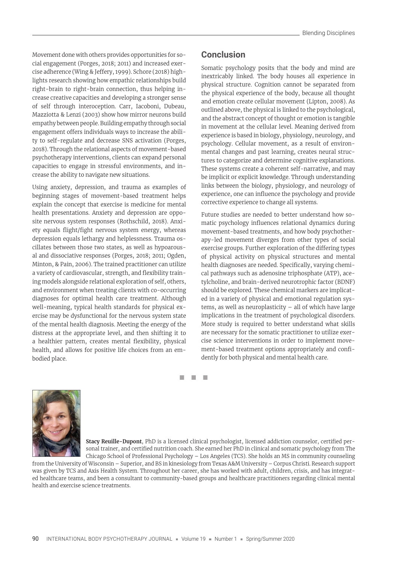Movement done with others provides opportunities for social engagement (Porges, 2018; 2011) and increased exercise adherence (Wing & Jeffery, 1999). Schore (2018) highlights research showing how empathic relationships build right-brain to right-brain connection, thus helping increase creative capacities and developing a stronger sense of self through interoception. Carr, Iacoboni, Dubeau, Mazziotta & Lenzi (2003) show how mirror neurons build empathy between people. Building empathy through social engagement offers individuals ways to increase the ability to self-regulate and decrease SNS activation (Porges, 2018). Through the relational aspects of movement-based psychotherapy interventions, clients can expand personal capacities to engage in stressful environments, and increase the ability to navigate new situations.

Using anxiety, depression, and trauma as examples of beginning stages of movement-based treatment helps explain the concept that exercise is medicine for mental health presentations. Anxiety and depression are opposite nervous system responses (Rothschild, 2018). Anxiety equals flight/fight nervous system energy, whereas depression equals lethargy and helplessness. Trauma oscillates between those two states, as well as hypoarousal and dissociative responses (Porges, 2018; 2011; Ogden, Minton, & Pain, 2006). The trained practitioner can utilize a variety of cardiovascular, strength, and flexibility training models alongside relational exploration of self, others, and environment when treating clients with co-occurring diagnoses for optimal health care treatment. Although well-meaning, typical health standards for physical exercise may be dysfunctional for the nervous system state of the mental health diagnosis. Meeting the energy of the distress at the appropriate level, and then shifting it to a healthier pattern, creates mental flexibility, physical health, and allows for positive life choices from an embodied place.

#### **Conclusion**

Somatic psychology posits that the body and mind are inextricably linked. The body houses all experience in physical structure. Cognition cannot be separated from the physical experience of the body, because all thought and emotion create cellular movement (Lipton, 2008). As outlined above, the physical is linked to the psychological, and the abstract concept of thought or emotion is tangible in movement at the cellular level. Meaning derived from experience is based in biology, physiology, neurology, and psychology. Cellular movement, as a result of environmental changes and past learning, creates neural structures to categorize and determine cognitive explanations. These systems create a coherent self-narrative, and may be implicit or explicit knowledge. Through understanding links between the biology, physiology, and neurology of experience, one can influence the psychology and provide corrective experience to change all systems.

Future studies are needed to better understand how somatic psychology influences relational dynamics during movement-based treatments, and how body psychotherapy-led movement diverges from other types of social exercise groups. Further exploration of the differing types of physical activity on physical structures and mental health diagnoses are needed. Specifically, varying chemical pathways such as adenosine triphosphate (ATP), acetylcholine, and brain-derived neurotrophic factor (BDNF) should be explored. These chemical markers are implicated in a variety of physical and emotional regulation systems, as well as neuroplasticity – all of which have large implications in the treatment of psychological disorders. More study is required to better understand what skills are necessary for the somatic practitioner to utilize exercise science interventions in order to implement movement-based treatment options appropriately and confi dently for both physical and mental health care.

◼ ◼ ◼



**Stacy Reuille-Dupont**, PhD is a licensed clinical psychologist, licensed addiction counselor, certified personal trainer, and certified nutrition coach. She earned her PhD in clinical and somatic psychology from The Chicago School of Professional Psychology – Los Angeles (TCS). She holds an MS in community counseling

from the University of Wisconsin – Superior, and BS in kinesiology from Texas A&M University – Corpus Christi. Research support was given by TCS and Axis Health System. Throughout her career, she has worked with adult, children, crisis, and has integrated healthcare teams, and been a consultant to community-based groups and healthcare practitioners regarding clinical mental health and exercise science treatments.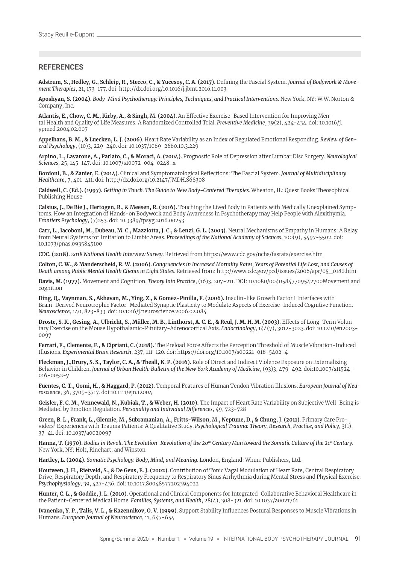#### **REFERENCES**

Adstrum, S., Hedley, G., Schleip, R., Stecco, C., & Yucesoy, C.A. (2017). Defining the Fascial System. *Journal of Bodywork & Movement Therapies*, 21, 173-177. doi: http://dx.doi.org/10.1016/j.jbmt.2016.11.003

**Aposhyan, S. (2004).** *Body-Mind Psychotherapy: Principles, Techniques, and Practical Interventions*. New York, NY: W.W. Norton & Company, Inc.

Atlantis, E., Chow, C. M., Kirby, A., & Singh, M. (2004). An Effective Exercise-Based Intervention for Improving Mental Health and Quality of Life Measures: A Randomized Controlled Trial. *Preventive Medicine*, 39(2), 424-434. doi: 10.1016/j. ypmed.2004.02.007

**Appelhans, B. M., & Luecken, L. J. (2006)**. Heart Rate Variability as an Index of Regulated Emotional Responding. *Review of General Psychology*, (10)3, 229-240. doi: 10.1037/1089-2680.10.3.229

**Arpino, L., Lavarone, A., Parlato, C., & Moraci, A. (2004).** Prognostic Role of Depression after Lumbar Disc Surgery. *Neurological Sciences*, 25, 145-147. doi: 10.1007/s10072-004-0248-x

Bordoni, B., & Zanier, E. (2014). Clinical and Symptomatological Reflections: The Fascial System. *Journal of Multidisciplinary Healthcare*, 7, 401-411. doi: http://dx.doi.org/10.2147/JMDH.S68308

**Caldwell, C. (Ed.). (1997).** *Getting in Touch. The Guide to New Body-Centered Therapies*. Wheaton, IL: Quest Books Theosophical Publishing House

**Calsius, J., De Bie J., Hertogen, R., & Meesen, R. (2016).** Touching the Lived Body in Patients with Medically Unexplained Symptoms. How an Integration of Hands-on Bodywork and Body Awareness in Psychotherapy may Help People with Alexithymia. *Frontiers Psychology*, (7)253. doi: 10.3389/fpsyg.2016.00253

**Carr, L., Iacoboni, M., Dubeau, M. C., Mazziotta, J. C., & Lenzi, G. L. (2003).** Neural Mechanisms of Empathy in Humans: A Relay from Neural Systems for Imitation to Limbic Areas. *Proceedings of the National Academy of Sciences*, 100(9), 5497-5502. doi: 10.1073/pnas.0935845100

**CDC. (2018).** *2018 National Health Interview Survey*. Retrieved from https://www.cdc.gov/nchs/fastats/exercise.htm

**Colton, C. W., & Manderscheid, R. W. (2006).** *Congruencies in Increased Mortality Rates, Years of Potential Life Lost, and Causes of Death among Public Mental Health Clients in Eight States*. Retrieved from: http://www.cdc.gov/pcd/issues/2006/apr/05\_0180.htm

**Davis, M. (1977).** Movement and Cognition. *Theory Into Practice*, (16)3, 207-211. DOI: 10.1080/00405847709542700Movement and cognition

**Ding, Q., Vaynman, S., Akhavan, M., Ying, Z., & Gomez-Pinilla, F. (2006).** Insulin-like Growth Factor I Interfaces with Brain-Derived Neurotrophic Factor-Mediated Synaptic Plasticity to Modulate Aspects of Exercise-Induced Cognitive Function. *Neuroscience*, 140, 823-833. doi: 10.1016/j.neuroscience.2006.02.084

Droste, S. K., Gesing, A., Ulbricht, S., Müller, M. B., Linthorst, A. C. E., & Reul, J. M. H. M. (2003). Effects of Long-Term Voluntary Exercise on the Mouse Hypothalamic-Pituitary-Adrenocortical Axis. *Endocrinology*, 144(7), 3012-3023. doi: 10.1210/en2003- 0097

Ferrari, F., Clemente, F., & Cipriani, C. (2018). The Preload Force Affects the Perception Threshold of Muscle Vibration-Induced Illusions. *Experimental Brain Research*, 237, 111-120. doi: https://doi.org/10.1007/s00221-018-5402-4

**Fleckman, J.,Drury, S. S., Taylor, C. A., & Theall, K. P. (2016).** Role of Direct and Indirect Violence Exposure on Externalizing Behavior in Children. *Journal of Urban Health: Bulletin of the New York Academy of Medicine*, (93)3, 479-492. doi:10.1007/s11524- 016-0052-y

**Fuentes, C. T., Gomi, H., & Haggard, P. (2012).** Temporal Features of Human Tendon Vibration Illusions. *European Journal of Neuroscience*, 36, 3709-3717. doi:10.1111/ejn.12004

**Geisler, F. C. M., Vennewald, N., Kubiak, T., & Weber, H. (2010).** The Impact of Heart Rate Variability on Subjective Well-Being is Mediated by Emotion Regulation. *Personality and Individual Di! erences*, 49, 723-728

**Green, B. L., Frank, L., Glennie, M., Subramanian, A., Fritts-Wilson, M., Neptune, D., & Chung, J. (2011).** Primary Care Providers' Experiences with Trauma Patients: A Qualitative Study. *Psychological Trauma: Theory, Research, Practice, and Policy*, 3(1), 37-41. doi: 10.1037/a0020097

**Hanna, T. (1970).** *Bodies in Revolt. The Evolution-Revolution of the 20th Century Man toward the Somatic Culture of the 21st Century*. New York, NY: Holt, Rinehart, and Winston

**Hartley, L. (2004).** *Somatic Psychology. Body, Mind, and Meaning*. London, England: Whurr Publishers, Ltd.

**Houtveen, J. H., Rietveld, S., & De Geus, E. J. (2002).** Contribution of Tonic Vagal Modulation of Heart Rate, Central Respiratory Drive, Respiratory Depth, and Respiratory Frequency to Respiratory Sinus Arrhythmia during Mental Stress and Physical Exercise. *Psychophysiology*, 39, 427-436. doi: 10.1017.S0048577202394022

**Hunter, C. L., & Goddie, J. L. (2010).** Operational and Clinical Components for Integrated-Collaborative Behavioral Healthcare in the Patient-Centered Medical Home. *Families, Systems, and Health*, 28(4), 308-321. doi: 10.1037/a0021761

**Ivanenko, Y. P., Talis, V. L., & Kazennikov, O. V. (1999).** Support Stability Influences Postural Responses to Muscle Vibrations in Humans. *European Journal of Neuroscience*, 11, 647-654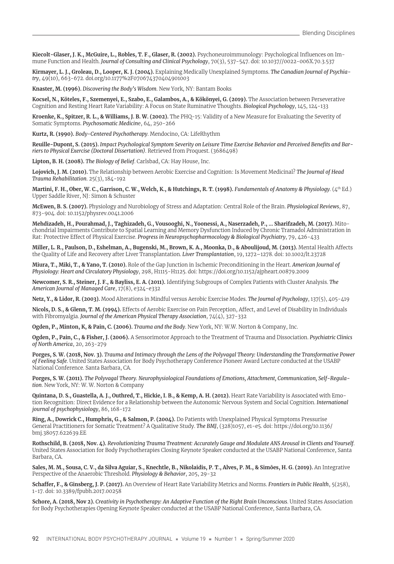Kiecolt-Glaser, J. K., McGuire, L., Robles, T. F., Glaser, R. (2002). Psychoneuroimmunology: Psychological Influences on Immune Function and Health. *Journal of Consulting and Clinical Psychology*, 70(3), 537-547. doi: 10.1037//0022-006X.70.3.537

**Kirmayer, L. J., Groleau, D., Looper, K. J. (2004).** Explaining Medically Unexplained Symptoms. *The Canadian Journal of Psychiatry*, 49(10), 663-672. doi.org/10.1177%2F070674370404901003

**Knaster, M. (1996).** *Discovering the Body's Wisdom*. New York, NY: Bantam Books

**Kocsel, N., Köteles, F., Szemenyei, E., Szabo, E., Galambos, A., & Kökönyei, G. (2019).** The Association between Perseverative Cognition and Resting Heart Rate Variability: A Focus on State Ruminative Thoughts. *Biological Psychology*, 145, 124-133

**Kroenke, K., Spitzer, R. L., & Williams, J. B. W. (2002).** The PHQ-15: Validity of a New Measure for Evaluating the Severity of Somatic Symptoms. *Psychosomatic Medicin*e, 64, 250-266

**Kurtz, R. (1990).** *Body-Centered Psychotherapy*. Mendocino, CA: LifeRhythm

Reuille-Dupont, S. (2015). Impact Psychological Symptom Severity on Leisure Time Exercise Behavior and Perceived Benefits and Bar*riers to Physical Exercise (Doctoral Dissertation)*. Retrieved from Proquest. (3686498)

**Lipton, B. H. (2008).** *The Biology of Belief*. Carlsbad, CA: Hay House, Inc.

**Lojovich, J. M. (2010).** The Relationship between Aerobic Exercise and Cognition: Is Movement Medicinal? *The Journal of Head Trauma Rehabilitation*. 25(3), 184-192

**Martini, F. H., Ober, W. C., Garrison, C. W., Welch, K., & Hutchings, R. T. (1998).** *Fundamentals of Anatomy & Physiology*. (4th Ed.) Upper Saddle River, NJ: Simon & Schuster

**McEwen, B. S. (2007).** Physiology and Nurobiology of Stress and Adaptation: Central Role of the Brain. *Physiological Reviews*, 87, 873-904. doi: 10.1152/physrev.0041.2006

**Mehdizadeh, H., Pourahmad, J., Taghizadeh, G., Vousooghi, N., Yoonessi, A., Naserzadeh, P., … Sharifzadeh, M. (2017).** Mitochondrial Impairments Contribute to Spatial Learning and Memory Dysfunction Induced by Chronic Tramadol Administration in Rat: Protective Effect of Physical Exercise. *Progress in Neuropsychopharmocology & Biological Psychiatry*, 79, 426-433

Miller, L. R., Paulson, D., Eshelman, A., Bugenski, M., Brown, K. A., Moonka, D., & Aboulijoud, M. (2013). Mental Health Affects the Quality of Life and Recovery after Liver Transplantation. *Liver Transplantation*, 19, 1272–1278. doi: 10.1002/lt.23728

**Miura, T., Miki, T., & Yano, T. (2010).** Role of the Gap Junction in Ischemic Preconditioning in the Heart. *American Journal of Physiology: Heart and Circulatory Physiology*, 298, H1115-H1125. doi: https://doi.org/10.1152/ajpheart.00879.2009

**Newcomer, S. R., Steiner, J. F., & Bayliss, E. A. (2011).** Identifying Subgroups of Complex Patients with Cluster Analysis. *The American Journal of Managed Care*, 17(8), e324-e332

**Netz, Y., & Lidor, R. (2003).** Mood Alterations in Mindful versus Aerobic Exercise Modes. *The Journal of Psychology*, 137(5), 405-419

Nicols, D. S., & Glenn, T. M. (1994). Effects of Aerobic Exercise on Pain Perception, Affect, and Level of Disability in Individuals with Fibromyalgia. *Journal of the American Physical Therapy Association*, 74(4), 327-332

**Ogden, P., Minton, K, & Pain, C. (2006).** *Trauma and the Body*. New York, NY: W.W. Norton & Company, Inc.

**Ogden, P., Pain, C., & Fisher, J. (2006).** A Sensorimotor Approach to the Treatment of Trauma and Dissociation. *Psychiatric Clinics of North America*, 20, 263-279

**Porges, S. W. (2018, Nov. 3).** *Trauma and Intimacy through the Lens of the Polyvagal Theory: Understanding the Transformative Power of Feeling Safe*. United States Association for Body Psychotherapy Conference Pioneer Award Lecture conducted at the USABP National Conference. Santa Barbara, CA.

**Porges, S. W. (2011).** *The Polyvagal Theory. Neurophysiological Foundations of Emotions, Attachment, Communication, Self-Regulation*. New York, NY: W. W. Norton & Company

**Quintana, D. S., Guastella, A. J., Outhred, T., Hickie, I. B., & Kemp, A. H. (2012).** Heart Rate Variability is Associated with Emotion Recognition: Direct Evidence for a Relationship between the Autonomic Nervous System and Social Cognition. *International journal of psychophysiology*, 86, 168-172

**Ring, A., Dowrick C., Humphris, G., & Salmon, P. (2004).** Do Patients with Unexplained Physical Symptoms Pressurise General Practitioners for Somatic Treatment? A Qualitative Study. *The BMJ*, (328)1057, e1-e5. doi: https://doi.org/10.1136/ bmj.38057.622639.EE

**Rothschild, B. (2018, Nov. 4).** *Revolutionizing Trauma Treatment: Accurately Gauge and Modulate ANS Arousal in Clients and Yourself*. United States Association for Body Psychotherapies Closing Keynote Speaker conducted at the USABP National Conference, Santa Barbara, CA.

**Sales, M. M., Sousa, C. V., da Silva Aguiar, S., Knechtle, B., Nikolaidis, P. T., Alves, P. M., & Simōes, H. G. (2019).** An Integrative Perspective of the Anaerobic Threshold. *Physiology & Behavior*, 205, 29-32

**Scha" er, F., & Ginsberg, J. P. (2017).** An Overview of Heart Rate Variability Metrics and Norms. *Frontiers in Public Health*, 5(258), 1-17. doi: 10.3389/fpubh.2017.00258

**Schore, A. (2018, Nov 2).** *Creativity in Psychotherapy: An Adaptive Function of the Right Brain Unconscious*. United States Association for Body Psychotherapies Opening Keynote Speaker conducted at the USABP National Conference, Santa Barbara, CA.